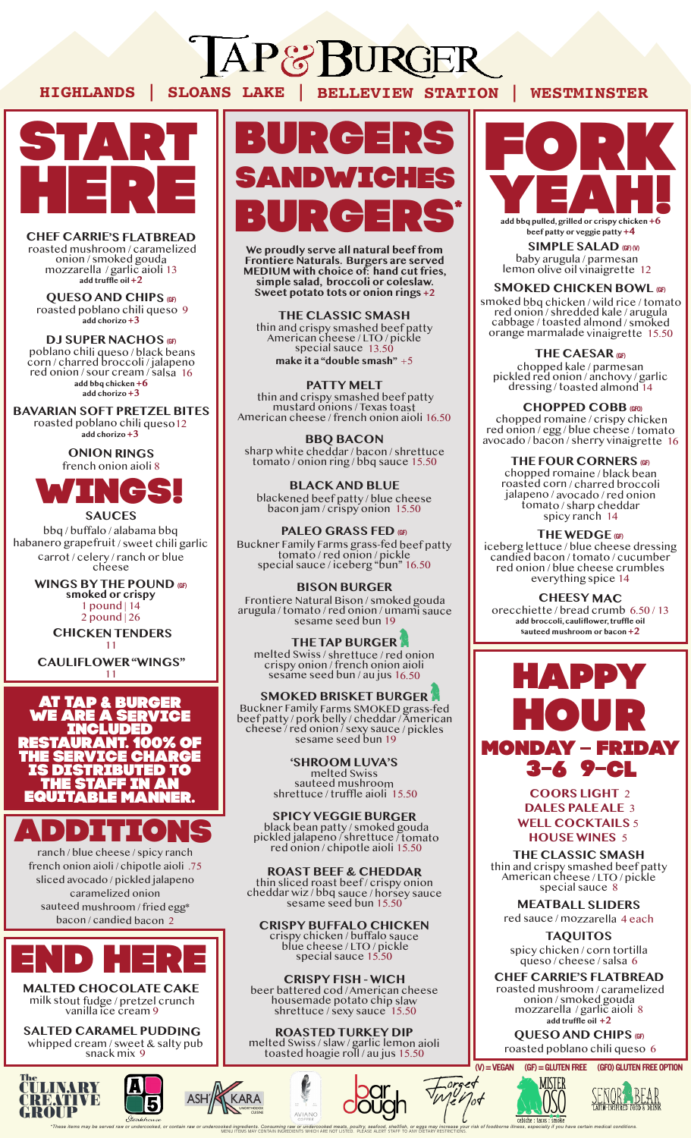# AP& BURGE

**HIGHLANDS | SLOANS LAKE | BELLEVIEW STATION | WESTMINSTER**



**CHEF CARRIE'S FLATBREAD** roasted mushroom / caramelized onion / smoked gouda mozzarella / garlic aioli 13 **add truffle oil +2**

**QUESO AND CHIPS (GF)** roasted poblano chili queso 9 **add chorizo +3**

**DJ SUPER NACHOS (GF)**  poblano chili queso / black beans corn / charred broccoli / jalapeno red onion / sour cream / salsa 16 **add bbq chicken +6 add chorizo +3**

**BAVARIAN SOFT PRETZEL BITES**  roasted poblano chili queso12 **add chorizo +3**

> **ONION RINGS** french onion aioli 8



carrot / celery / ranch or blue cheese bbq / buffalo / alabama bbq habanero grapefruit / sweet chili garlic **SAUCES** 

> **WINGS BY THE POUND (GF) smoked or crispy** 1 pound | 14  $2$  pound  $26$ **CHICKEN TENDERS**

**CAULIFLOWER "WINGS"** 11 11



ADDITIONS ranch / blue cheese / spicy ranch french onion aioli / chipotle aioli .75 sliced avocado / pickled jalapeno caramelized onion sauteed mushroom / fried egg\* bacon / candied bacon2



**MALTED CHOCOLATE CAKE** milk stout fudge / pretzel crunch vanilla ice cream 9

**SALTED CARAMEL PUDDING** whipped cream / sweet & salty pub snack mix 9



**We proudly serve all natural beef from Frontiere Naturals. Burgers are served MEDIUM with choice of: hand cut fries, simple salad, broccoli or coleslaw. Sweet potato tots or onion rings +2**

**THE CLASSIC SMASH** thin and crispy smashed beef patty American cheese / LTO / pickle special sauce 13.50 **make it a "double smash"** +5

**PATTY MELT** thin and crispy smashed beef patty mustard onions / Texas toast American cheese / french onion aioli 16.50

**BBQ BACON** sharp white cheddar / bacon / shrettuce tomato / onion ring / bbq sauce 15.50

**BLACK AND BLUE** blackened beef patty / blue cheese bacon jam / crispy onion 15.50

**PALEO GRASS FED (GF)** Buckner Family Farms grass-fed beef patty tomato / red onion / pickle special sauce / iceberg "bun" 16.50

**BISON BURGER** Frontiere Natural Bison / smoked gouda arugula / tomato / red onion / umami sauce sesame seed bun 19

**THE TAP BURGER** melted Swiss / shrettuce / red onion crispy onion / french onion aioli sesame seed bun / au jus 16.50

**SMOKED BRISKET BURGER** Buckner Family Farms SMOKED grass-fed beef patty / pork belly / cheddar / American cheese / red onion / sexy sauce / pickles sesame seed bun 19

> **'SHROOM LUVA'S** melted Swiss sauteed mushroom shrettuce / truffle aioli 15.50

**SPICY VEGGIE BURGER** black bean patty / smoked gouda pickled jalapeno / shrettuce / tomato red onion / chipotle aioli 15.50

**ROAST BEEF & CHEDDAR** thin sliced roast beef / crispy onion cheddar wiz / bbq sauce / horsey sauce sesame seed bun 15.50

**CRISPY BUFFALO CHICKEN** crispy chicken / buffalo sauce blue cheese / LTO / pickle special sauce 15.50

**CRISPY FISH - WICH** beer battered cod / American cheese housemade potato chip slaw shrettuce / sexy sauce 15.50

**ROASTED TURKEY DIP** melted Swiss / slaw / garlic lemon aioli toasted hoagie roll / au jus 15.50



**SIMPLE SALAD (GF) (V)** baby arugula / parmesan lemon olive oil vinaigrette 12

**SMOKED CHICKEN BOWL (GF)**

smoked bbq chicken / wild rice / tomato red onion / shredded kale / arugula cabbage / toasted almond / smoked orange marmalade vinaigrette 15.50

**THE CAESAR (GF)** chopped kale / parmesan pickled red onion / anchovy / garlic dressing / toasted almond <sup>14</sup>

**CHOPPED COBB (GF0)**

 chopped romaine / crispy chicken red onion / egg / blue cheese / tomato avocado / bacon / sherry vinaigrette 16

> **THE FOUR CORNERS (GF)** chopped romaine / black bean roasted corn / charred broccoli jalapeno / avocado / red onion tomato / sharp cheddar spicy ranch 14

**THE WEDGE (GF)** iceberg lettuce / blue cheese dressing candied bacon / tomato / cucumber red onion / blue cheese crumbles everything spice 14

**CHEESY MAC** orecchiette / bread crumb 6.50 / 13 **add broccoli, cauliflower, truffle oil sauteed mushroom or bacon +2**



**COORS LIGHT** 2 **DALES PALE ALE** 3 **WELL COCKTAILS** 5 **HOUSE WINES** 5

**THE CLASSIC SMASH** thin and crispy smashed beef patty American cheese / LTO / pickle special sauce 8

**MEATBALL SLIDERS** red sauce / mozzarella 4 each

**TAQUITOS** spicy chicken / corn tortilla queso / cheese / salsa 6

**CHEF CARRIE'S FLATBREAD** roasted mushroom / caramelized onion / smoked gouda mozzarella / garlic aioli 8 **add truffle oil +2**

**QUESO AND CHIPS (GF)** roasted poblano chili queso 6

 **(V) = VEGAN (GF) = GLUTEN FREE (GFO) GLUTEN FREE OPTION**



**CULINARY<br>CREATIVE<br>GROUP** AVIANO s. Consuming raw or underc MENU ITEMS MAY CONTAIN INGREDIENTS WHICH ARE NOT LISTED. PLEASE ALERT STAFF TO ANY DIETARY RESTRICTIONS.

KARA